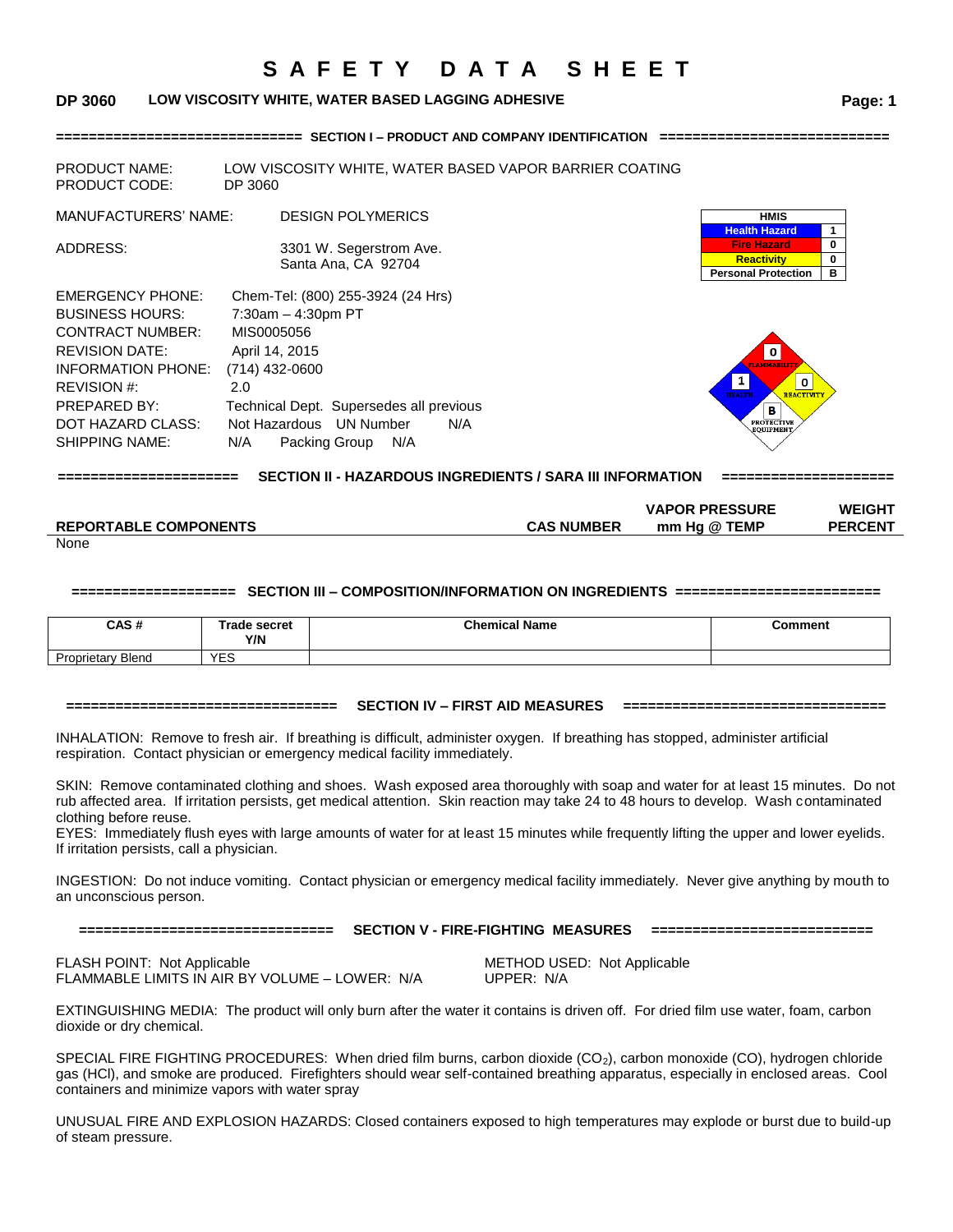### **DP 3060 LOW VISCOSITY WHITE, WATER BASED LAGGING ADHESIVE Page: 1**

**============================== SECTION I – PRODUCT AND COMPANY IDENTIFICATION ============================** 

| <b>PRODUCT NAME:</b><br><b>PRODUCT CODE:</b>                                                                                                                                                             | LOW VISCOSITY WHITE, WATER BASED VAPOR BARRIER COATING<br>DP 3060                                                                                                                                                                |                                                                                                    |                    |
|----------------------------------------------------------------------------------------------------------------------------------------------------------------------------------------------------------|----------------------------------------------------------------------------------------------------------------------------------------------------------------------------------------------------------------------------------|----------------------------------------------------------------------------------------------------|--------------------|
| <b>MANUFACTURERS' NAME:</b>                                                                                                                                                                              | <b>DESIGN POLYMERICS</b>                                                                                                                                                                                                         | <b>HMIS</b><br><b>Health Hazard</b>                                                                |                    |
| ADDRESS:                                                                                                                                                                                                 | 3301 W. Segerstrom Ave.<br>Santa Ana, CA 92704                                                                                                                                                                                   | <b>Fire Hazard</b><br><b>Reactivity</b><br><b>Personal Protection</b>                              | $\bf{0}$<br>0<br>в |
| <b>EMERGENCY PHONE:</b><br><b>BUSINESS HOURS:</b><br><b>CONTRACT NUMBER:</b><br><b>REVISION DATE:</b><br>INFORMATION PHONE:<br>REVISION #:<br>PREPARED BY:<br>DOT HAZARD CLASS:<br><b>SHIPPING NAME:</b> | Chem-Tel: (800) 255-3924 (24 Hrs)<br>$7:30am - 4:30pm PT$<br>MIS0005056<br>April 14, 2015<br>$(714)$ 432-0600<br>2.0<br>Technical Dept. Supersedes all previous<br>Not Hazardous UN Number<br>N/A<br>N/A<br>Packing Group<br>N/A | $\bullet$<br>$\bf{0}$<br><b>HEALTH</b><br><b>REACTIVITY</b><br>в<br><b>PROTECTIVE</b><br>EOUIPMENT |                    |

**====================== SECTION II - HAZARDOUS INGREDIENTS / SARA III INFORMATION =====================**

|                              |                   | <b>VAPOR PRESSURE</b> | <b>WEIGHT</b>  |
|------------------------------|-------------------|-----------------------|----------------|
| <b>REPORTABLE COMPONENTS</b> | <b>CAS NUMBER</b> | mm Ha @ TEMP          | <b>PERCENT</b> |
| <b>None</b>                  |                   |                       |                |

None

#### **==================== SECTION III – COMPOSITION/INFORMATION ON INGREDIENTS =========================**

| CAS#                     | Trade secret<br>Y/N | <b>Chemical Name</b> | Comment |
|--------------------------|---------------------|----------------------|---------|
| <b>Proprietary Blend</b> | VES<br>∟ບ           |                      |         |

#### **================================= SECTION IV – FIRST AID MEASURES ================================**

INHALATION: Remove to fresh air. If breathing is difficult, administer oxygen. If breathing has stopped, administer artificial respiration. Contact physician or emergency medical facility immediately.

SKIN: Remove contaminated clothing and shoes. Wash exposed area thoroughly with soap and water for at least 15 minutes. Do not rub affected area. If irritation persists, get medical attention. Skin reaction may take 24 to 48 hours to develop. Wash contaminated clothing before reuse.

EYES: Immediately flush eyes with large amounts of water for at least 15 minutes while frequently lifting the upper and lower eyelids. If irritation persists, call a physician.

INGESTION: Do not induce vomiting. Contact physician or emergency medical facility immediately. Never give anything by mouth to an unconscious person.

**=============================== SECTION V - FIRE-FIGHTING MEASURES ===========================**

FLASH POINT: Not Applicable **METHOD USED:** Not Applicable FLAMMABLE LIMITS IN AIR BY VOLUME – LOWER: N/A UPPER: N/A

EXTINGUISHING MEDIA: The product will only burn after the water it contains is driven off. For dried film use water, foam, carbon dioxide or dry chemical.

SPECIAL FIRE FIGHTING PROCEDURES: When dried film burns, carbon dioxide  $(CO_2)$ , carbon monoxide  $(CO)$ , hydrogen chloride gas (HCl), and smoke are produced. Firefighters should wear self-contained breathing apparatus, especially in enclosed areas. Cool containers and minimize vapors with water spray

UNUSUAL FIRE AND EXPLOSION HAZARDS: Closed containers exposed to high temperatures may explode or burst due to build-up of steam pressure.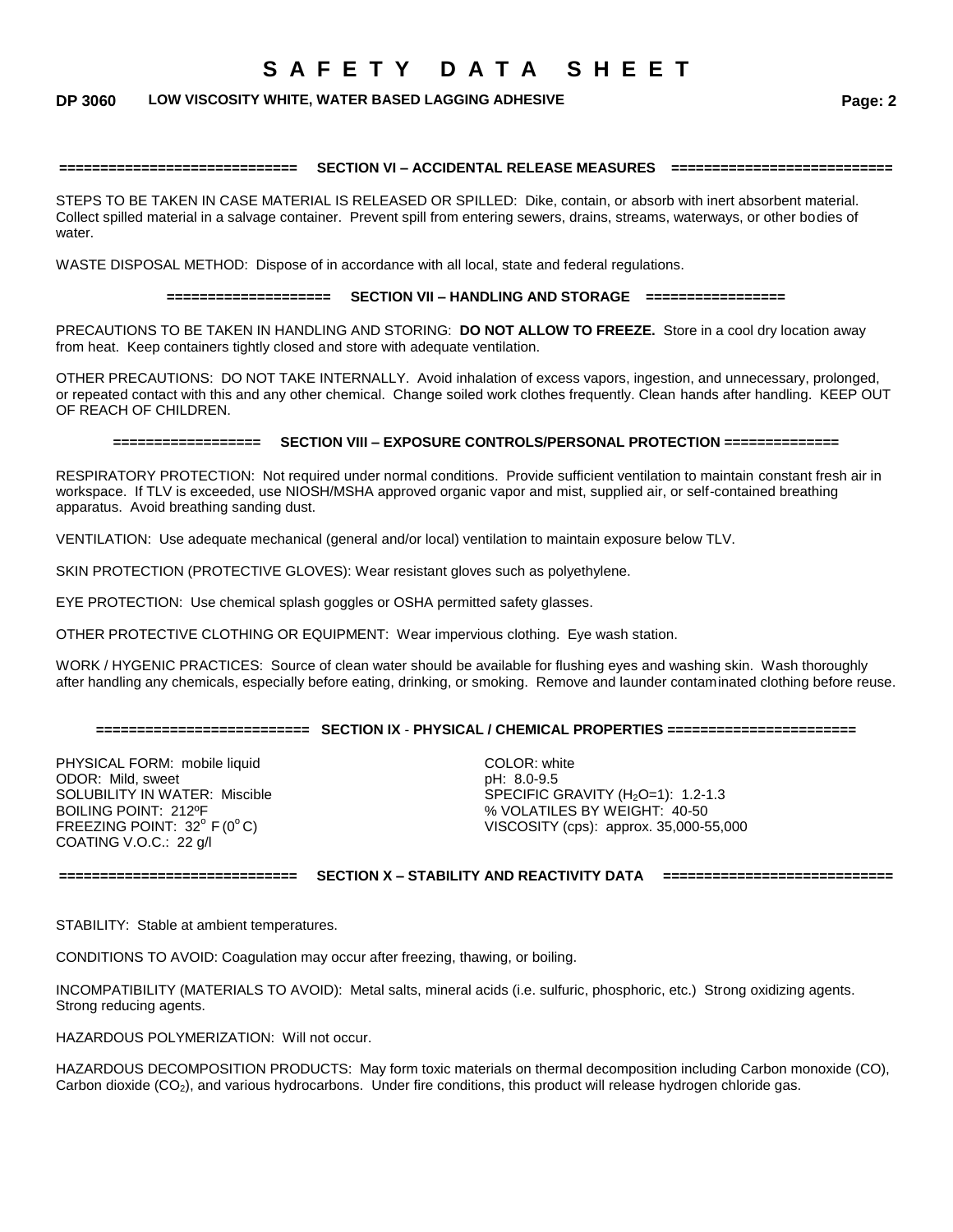### **DP 3060 LOW VISCOSITY WHITE, WATER BASED LAGGING ADHESIVE Page: 2**

#### **============================= SECTION VI – ACCIDENTAL RELEASE MEASURES ===========================**

STEPS TO BE TAKEN IN CASE MATERIAL IS RELEASED OR SPILLED: Dike, contain, or absorb with inert absorbent material. Collect spilled material in a salvage container. Prevent spill from entering sewers, drains, streams, waterways, or other bodies of water.

WASTE DISPOSAL METHOD: Dispose of in accordance with all local, state and federal regulations.

#### **==================== SECTION VII – HANDLING AND STORAGE =================**

PRECAUTIONS TO BE TAKEN IN HANDLING AND STORING: **DO NOT ALLOW TO FREEZE.** Store in a cool dry location away from heat. Keep containers tightly closed and store with adequate ventilation.

OTHER PRECAUTIONS: DO NOT TAKE INTERNALLY. Avoid inhalation of excess vapors, ingestion, and unnecessary, prolonged, or repeated contact with this and any other chemical. Change soiled work clothes frequently. Clean hands after handling. KEEP OUT OF REACH OF CHILDREN.

#### **================== SECTION VIII – EXPOSURE CONTROLS/PERSONAL PROTECTION ==============**

RESPIRATORY PROTECTION: Not required under normal conditions. Provide sufficient ventilation to maintain constant fresh air in workspace. If TLV is exceeded, use NIOSH/MSHA approved organic vapor and mist, supplied air, or self-contained breathing apparatus. Avoid breathing sanding dust.

VENTILATION: Use adequate mechanical (general and/or local) ventilation to maintain exposure below TLV.

SKIN PROTECTION (PROTECTIVE GLOVES): Wear resistant gloves such as polyethylene.

EYE PROTECTION: Use chemical splash goggles or OSHA permitted safety glasses.

OTHER PROTECTIVE CLOTHING OR EQUIPMENT: Wear impervious clothing. Eye wash station.

WORK / HYGENIC PRACTICES: Source of clean water should be available for flushing eyes and washing skin. Wash thoroughly after handling any chemicals, especially before eating, drinking, or smoking. Remove and launder contaminated clothing before reuse.

#### **========================== SECTION IX** - **PHYSICAL / CHEMICAL PROPERTIES =======================**

PHYSICAL FORM: mobile liquid COLOR: white ODOR: Mild, sweet pH: 8.0-9.5 COATING V.O.C.: 22 g/l

SOLUBILITY IN WATER: Miscible SPECIFIC GRAVITY (H<sub>2</sub>O=1): 1.2-1.3<br>BOILING POINT: 212ºF SPECIFIC SPECIFIC SPECIFIC SPECIFIT: 40-50 % VOLATILES BY WEIGHT: 40-50 FREEZING POINT:  $32^{\circ}$  F( $0^{\circ}$ C)  $\qquad \qquad$  VISCOSITY (cps): approx. 35,000-55,000

**============================= SECTION X – STABILITY AND REACTIVITY DATA ============================**

STABILITY: Stable at ambient temperatures.

CONDITIONS TO AVOID: Coagulation may occur after freezing, thawing, or boiling.

INCOMPATIBILITY (MATERIALS TO AVOID): Metal salts, mineral acids (i.e. sulfuric, phosphoric, etc.) Strong oxidizing agents. Strong reducing agents.

HAZARDOUS POLYMERIZATION: Will not occur.

HAZARDOUS DECOMPOSITION PRODUCTS: May form toxic materials on thermal decomposition including Carbon monoxide (CO), Carbon dioxide (CO<sub>2</sub>), and various hydrocarbons. Under fire conditions, this product will release hydrogen chloride gas.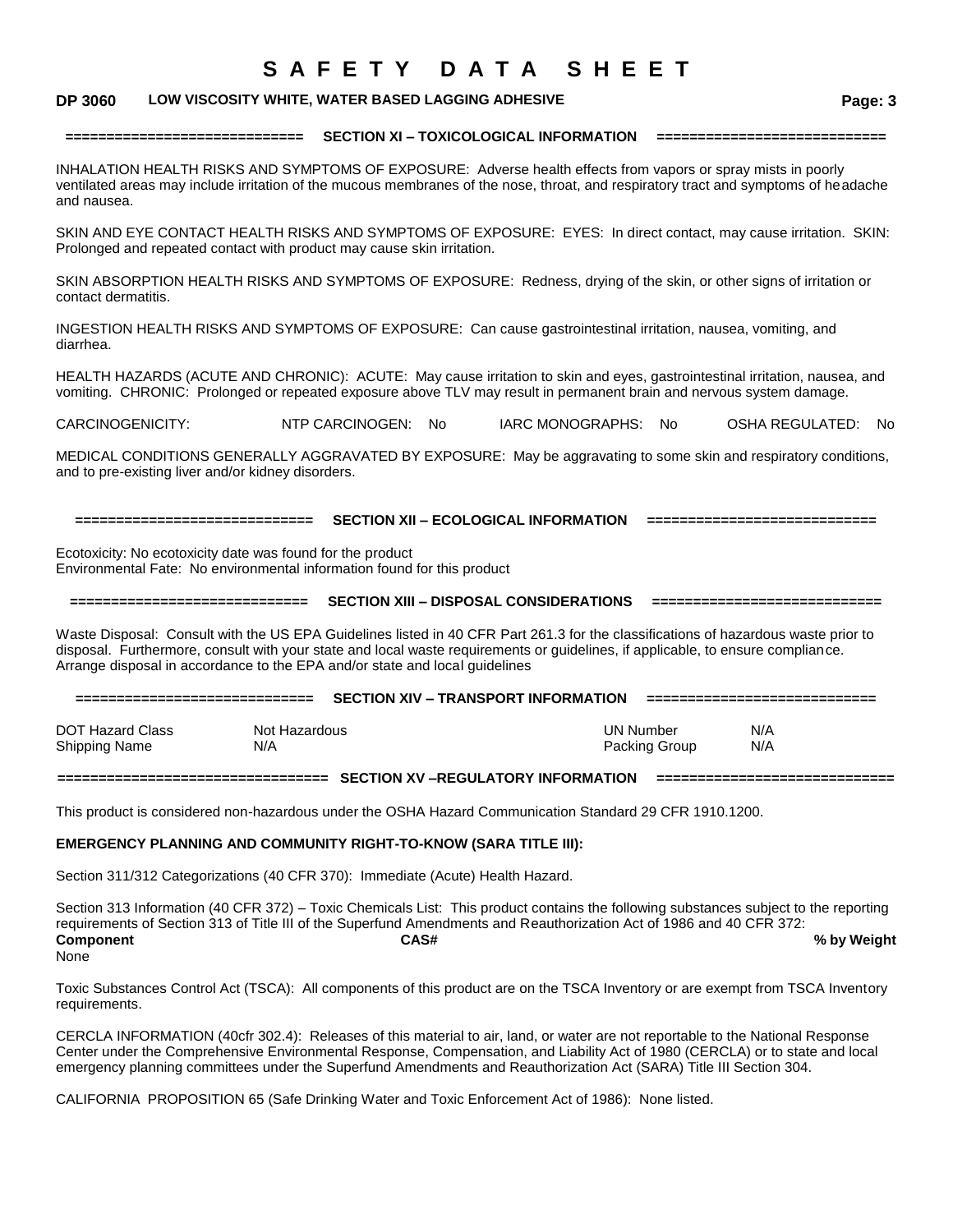### **DP 3060 LOW VISCOSITY WHITE, WATER BASED LAGGING ADHESIVE Page: 3**

**============================= SECTION XI – TOXICOLOGICAL INFORMATION ============================**

INHALATION HEALTH RISKS AND SYMPTOMS OF EXPOSURE: Adverse health effects from vapors or spray mists in poorly ventilated areas may include irritation of the mucous membranes of the nose, throat, and respiratory tract and symptoms of headache and nausea.

SKIN AND EYE CONTACT HEALTH RISKS AND SYMPTOMS OF EXPOSURE: EYES: In direct contact, may cause irritation. SKIN: Prolonged and repeated contact with product may cause skin irritation.

SKIN ABSORPTION HEALTH RISKS AND SYMPTOMS OF EXPOSURE: Redness, drying of the skin, or other signs of irritation or contact dermatitis.

INGESTION HEALTH RISKS AND SYMPTOMS OF EXPOSURE: Can cause gastrointestinal irritation, nausea, vomiting, and diarrhea.

HEALTH HAZARDS (ACUTE AND CHRONIC): ACUTE: May cause irritation to skin and eyes, gastrointestinal irritation, nausea, and vomiting. CHRONIC: Prolonged or repeated exposure above TLV may result in permanent brain and nervous system damage.

CARCINOGENICITY: NTP CARCINOGEN: No IARC MONOGRAPHS: No OSHA REGULATED: No

MEDICAL CONDITIONS GENERALLY AGGRAVATED BY EXPOSURE: May be aggravating to some skin and respiratory conditions, and to pre-existing liver and/or kidney disorders.

**============================= SECTION XII – ECOLOGICAL INFORMATION ============================**

Ecotoxicity: No ecotoxicity date was found for the product Environmental Fate: No environmental information found for this product

**============================= SECTION XIII – DISPOSAL CONSIDERATIONS ============================**

Waste Disposal: Consult with the US EPA Guidelines listed in 40 CFR Part 261.3 for the classifications of hazardous waste prior to disposal. Furthermore, consult with your state and local waste requirements or guidelines, if applicable, to ensure compliance. Arrange disposal in accordance to the EPA and/or state and local guidelines

**============================= SECTION XIV – TRANSPORT INFORMATION ============================** DOT Hazard Class Not Hazardous UN Number N/A Shipping Name **N/A** N/A **Packing Group** N/A

**================================= SECTION XV –REGULATORY INFORMATION =============================**

This product is considered non-hazardous under the OSHA Hazard Communication Standard 29 CFR 1910.1200.

#### **EMERGENCY PLANNING AND COMMUNITY RIGHT-TO-KNOW (SARA TITLE III):**

Section 311/312 Categorizations (40 CFR 370): Immediate (Acute) Health Hazard.

Section 313 Information (40 CFR 372) – Toxic Chemicals List: This product contains the following substances subject to the reporting requirements of Section 313 of Title III of the Superfund Amendments and Reauthorization Act of 1986 and 40 CFR 372: **Component CAS# % by Weight** None

Toxic Substances Control Act (TSCA): All components of this product are on the TSCA Inventory or are exempt from TSCA Inventory requirements.

CERCLA INFORMATION (40cfr 302.4): Releases of this material to air, land, or water are not reportable to the National Response Center under the Comprehensive Environmental Response, Compensation, and Liability Act of 1980 (CERCLA) or to state and local emergency planning committees under the Superfund Amendments and Reauthorization Act (SARA) Title III Section 304.

CALIFORNIA PROPOSITION 65 (Safe Drinking Water and Toxic Enforcement Act of 1986): None listed.